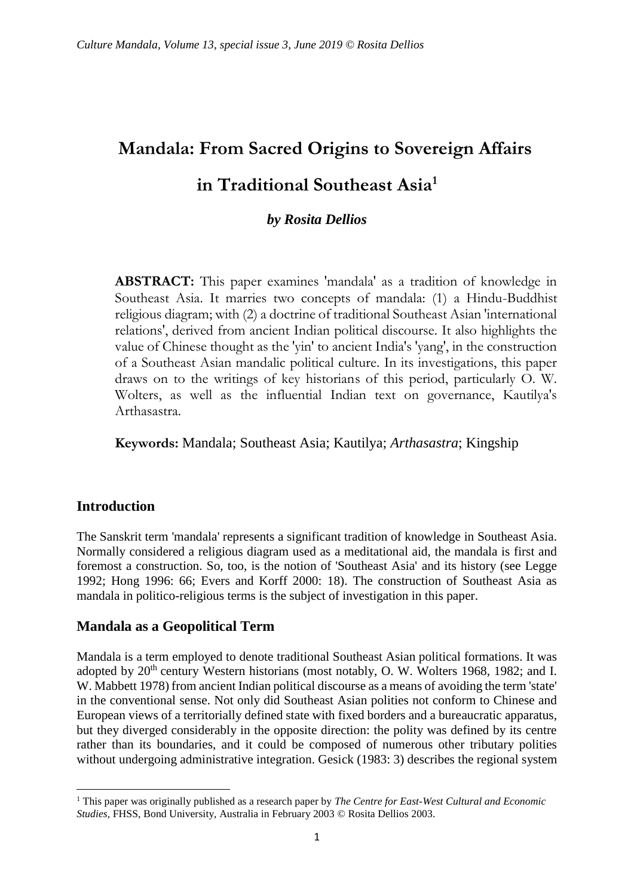# **Mandala: From Sacred Origins to Sovereign Affairs in Traditional Southeast Asia<sup>1</sup>**

# *by Rosita Dellios*

**ABSTRACT:** This paper examines 'mandala' as a tradition of knowledge in Southeast Asia. It marries two concepts of mandala: (1) a Hindu-Buddhist religious diagram; with (2) a doctrine of traditional Southeast Asian 'international relations', derived from ancient Indian political discourse. It also highlights the value of Chinese thought as the 'yin' to ancient India's 'yang', in the construction of a Southeast Asian mandalic political culture. In its investigations, this paper draws on to the writings of key historians of this period, particularly O. W. Wolters, as well as the influential Indian text on governance, Kautilya's Arthasastra.

**Keywords:** Mandala; Southeast Asia; Kautilya; *Arthasastra*; Kingship

### **Introduction**

1

The Sanskrit term 'mandala' represents a significant tradition of knowledge in Southeast Asia. Normally considered a religious diagram used as a meditational aid, the mandala is first and foremost a construction. So, too, is the notion of 'Southeast Asia' and its history (see Legge 1992; Hong 1996: 66; Evers and Korff 2000: 18). The construction of Southeast Asia as mandala in politico-religious terms is the subject of investigation in this paper.

### **Mandala as a Geopolitical Term**

Mandala is a term employed to denote traditional Southeast Asian political formations. It was adopted by 20<sup>th</sup> century Western historians (most notably, O. W. Wolters 1968, 1982; and I. W. Mabbett 1978) from ancient Indian political discourse as a means of avoiding the term 'state' in the conventional sense. Not only did Southeast Asian polities not conform to Chinese and European views of a territorially defined state with fixed borders and a bureaucratic apparatus, but they diverged considerably in the opposite direction: the polity was defined by its centre rather than its boundaries, and it could be composed of numerous other tributary polities without undergoing administrative integration. Gesick (1983: 3) describes the regional system

<sup>1</sup> This paper was originally published as a research paper by *The Centre for East-West Cultural and Economic Studies,* FHSS, Bond University, Australia in February 2003 © Rosita Dellios 2003.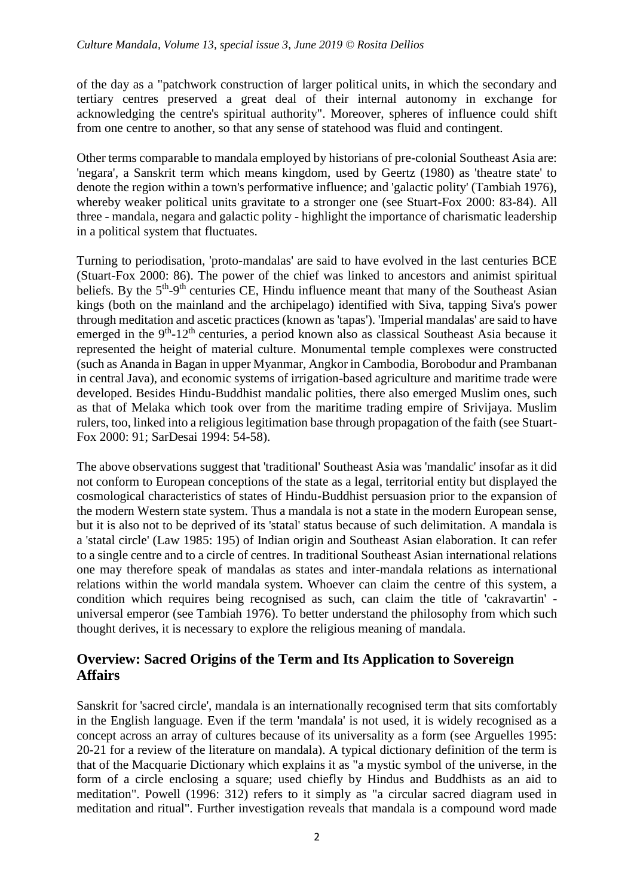of the day as a "patchwork construction of larger political units, in which the secondary and tertiary centres preserved a great deal of their internal autonomy in exchange for acknowledging the centre's spiritual authority". Moreover, spheres of influence could shift from one centre to another, so that any sense of statehood was fluid and contingent.

Other terms comparable to mandala employed by historians of pre-colonial Southeast Asia are: 'negara', a Sanskrit term which means kingdom, used by Geertz (1980) as 'theatre state' to denote the region within a town's performative influence; and 'galactic polity' (Tambiah 1976), whereby weaker political units gravitate to a stronger one (see Stuart-Fox 2000: 83-84). All three - mandala, negara and galactic polity - highlight the importance of charismatic leadership in a political system that fluctuates.

Turning to periodisation, 'proto-mandalas' are said to have evolved in the last centuries BCE (Stuart-Fox 2000: 86). The power of the chief was linked to ancestors and animist spiritual beliefs. By the  $5<sup>th</sup>-9<sup>th</sup>$  centuries CE, Hindu influence meant that many of the Southeast Asian kings (both on the mainland and the archipelago) identified with Siva, tapping Siva's power through meditation and ascetic practices (known as 'tapas'). 'Imperial mandalas' are said to have emerged in the 9<sup>th</sup>-12<sup>th</sup> centuries, a period known also as classical Southeast Asia because it represented the height of material culture. Monumental temple complexes were constructed (such as Ananda in Bagan in upper Myanmar, Angkor in Cambodia, Borobodur and Prambanan in central Java), and economic systems of irrigation-based agriculture and maritime trade were developed. Besides Hindu-Buddhist mandalic polities, there also emerged Muslim ones, such as that of Melaka which took over from the maritime trading empire of Srivijaya. Muslim rulers, too, linked into a religious legitimation base through propagation of the faith (see Stuart-Fox 2000: 91; SarDesai 1994: 54-58).

The above observations suggest that 'traditional' Southeast Asia was 'mandalic' insofar as it did not conform to European conceptions of the state as a legal, territorial entity but displayed the cosmological characteristics of states of Hindu-Buddhist persuasion prior to the expansion of the modern Western state system. Thus a mandala is not a state in the modern European sense, but it is also not to be deprived of its 'statal' status because of such delimitation. A mandala is a 'statal circle' (Law 1985: 195) of Indian origin and Southeast Asian elaboration. It can refer to a single centre and to a circle of centres. In traditional Southeast Asian international relations one may therefore speak of mandalas as states and inter-mandala relations as international relations within the world mandala system. Whoever can claim the centre of this system, a condition which requires being recognised as such, can claim the title of 'cakravartin' universal emperor (see Tambiah 1976). To better understand the philosophy from which such thought derives, it is necessary to explore the religious meaning of mandala.

# **Overview: Sacred Origins of the Term and Its Application to Sovereign Affairs**

Sanskrit for 'sacred circle', mandala is an internationally recognised term that sits comfortably in the English language. Even if the term 'mandala' is not used, it is widely recognised as a concept across an array of cultures because of its universality as a form (see Arguelles 1995: 20-21 for a review of the literature on mandala). A typical dictionary definition of the term is that of the Macquarie Dictionary which explains it as "a mystic symbol of the universe, in the form of a circle enclosing a square; used chiefly by Hindus and Buddhists as an aid to meditation". Powell (1996: 312) refers to it simply as "a circular sacred diagram used in meditation and ritual". Further investigation reveals that mandala is a compound word made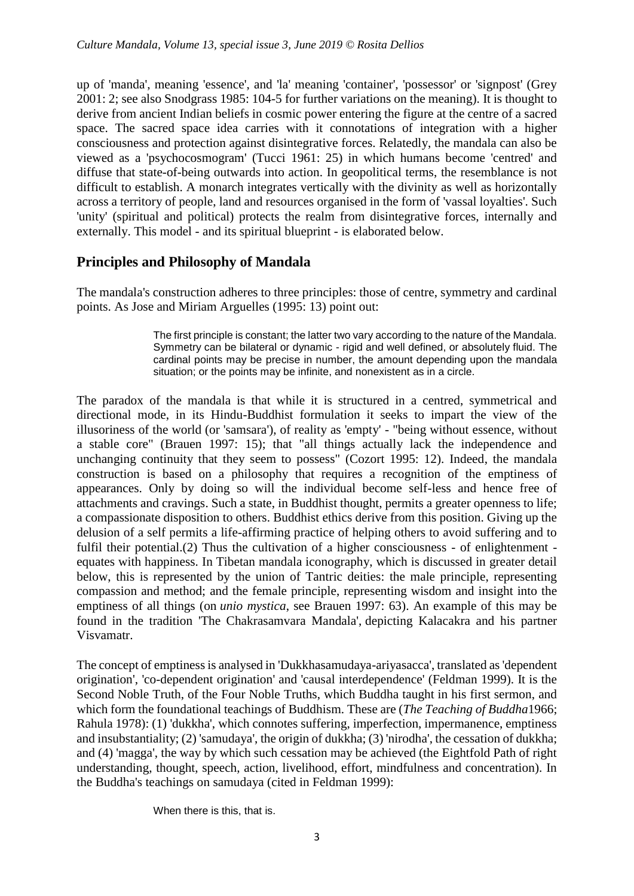up of 'manda', meaning 'essence', and 'la' meaning 'container', 'possessor' or 'signpost' (Grey 2001: 2; see also Snodgrass 1985: 104-5 for further variations on the meaning). It is thought to derive from ancient Indian beliefs in cosmic power entering the figure at the centre of a sacred space. The sacred space idea carries with it connotations of integration with a higher consciousness and protection against disintegrative forces. Relatedly, the mandala can also be viewed as a 'psychocosmogram' (Tucci 1961: 25) in which humans become 'centred' and diffuse that state-of-being outwards into action. In geopolitical terms, the resemblance is not difficult to establish. A monarch integrates vertically with the divinity as well as horizontally across a territory of people, land and resources organised in the form of 'vassal loyalties'. Such 'unity' (spiritual and political) protects the realm from disintegrative forces, internally and externally. This model - and its spiritual blueprint - is elaborated below.

# **Principles and Philosophy of Mandala**

The mandala's construction adheres to three principles: those of centre, symmetry and cardinal points. As Jose and Miriam Arguelles (1995: 13) point out:

> The first principle is constant; the latter two vary according to the nature of the Mandala. Symmetry can be bilateral or dynamic - rigid and well defined, or absolutely fluid. The cardinal points may be precise in number, the amount depending upon the mandala situation; or the points may be infinite, and nonexistent as in a circle.

The paradox of the mandala is that while it is structured in a centred, symmetrical and directional mode, in its Hindu-Buddhist formulation it seeks to impart the view of the illusoriness of the world (or 'samsara'), of reality as 'empty' - "being without essence, without a stable core" (Brauen 1997: 15); that "all things actually lack the independence and unchanging continuity that they seem to possess" (Cozort 1995: 12). Indeed, the mandala construction is based on a philosophy that requires a recognition of the emptiness of appearances. Only by doing so will the individual become self-less and hence free of attachments and cravings. Such a state, in Buddhist thought, permits a greater openness to life; a compassionate disposition to others. Buddhist ethics derive from this position. Giving up the delusion of a self permits a life-affirming practice of helping others to avoid suffering and to fulfil their potential.(2) Thus the cultivation of a higher consciousness - of enlightenment equates with happiness. In Tibetan mandala iconography, which is discussed in greater detail below, this is represented by the union of Tantric deities: the male principle, representing compassion and method; and the female principle, representing wisdom and insight into the emptiness of all things (on *unio mystica*, see Brauen 1997: 63). An example of this may be found in the tradition 'The Chakrasamvara Mandala', depicting Kalacakra and his partner Visvamatr.

The concept of emptiness is analysed in 'Dukkhasamudaya-ariyasacca', translated as 'dependent origination', 'co-dependent origination' and 'causal interdependence' (Feldman 1999). It is the Second Noble Truth, of the Four Noble Truths, which Buddha taught in his first sermon, and which form the foundational teachings of Buddhism. These are (*The Teaching of Buddha*1966; Rahula 1978): (1) 'dukkha', which connotes suffering, imperfection, impermanence, emptiness and insubstantiality; (2) 'samudaya', the origin of dukkha; (3) 'nirodha', the cessation of dukkha; and (4) 'magga', the way by which such cessation may be achieved (the Eightfold Path of right understanding, thought, speech, action, livelihood, effort, mindfulness and concentration). In the Buddha's teachings on samudaya (cited in Feldman 1999):

When there is this, that is.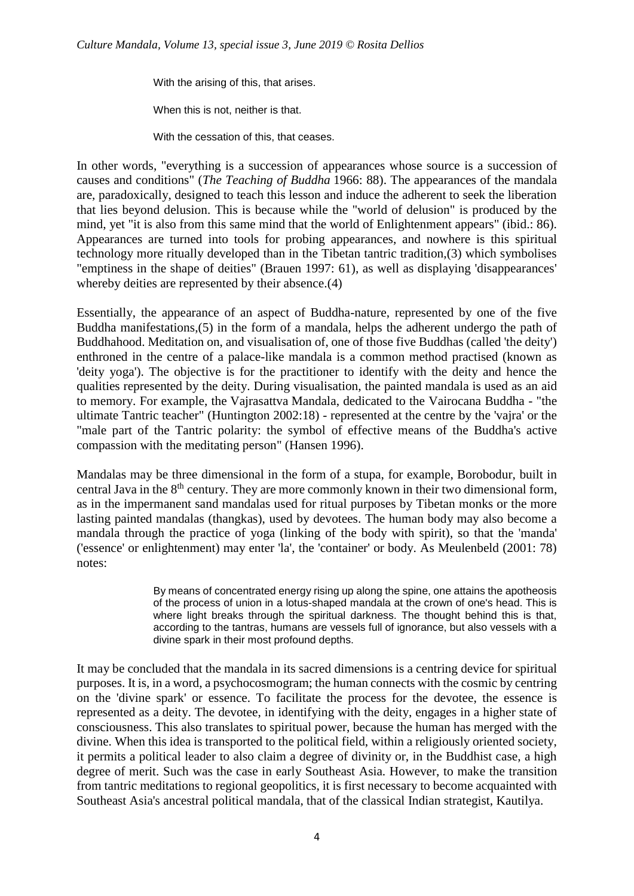With the arising of this, that arises.

When this is not, neither is that.

With the cessation of this, that ceases.

In other words, "everything is a succession of appearances whose source is a succession of causes and conditions" (*The Teaching of Buddha* 1966: 88). The appearances of the mandala are, paradoxically, designed to teach this lesson and induce the adherent to seek the liberation that lies beyond delusion. This is because while the "world of delusion" is produced by the mind, yet "it is also from this same mind that the world of Enlightenment appears" (ibid.: 86). Appearances are turned into tools for probing appearances, and nowhere is this spiritual technology more ritually developed than in the Tibetan tantric tradition,(3) which symbolises "emptiness in the shape of deities" (Brauen 1997: 61), as well as displaying 'disappearances' whereby deities are represented by their absence.(4)

Essentially, the appearance of an aspect of Buddha-nature, represented by one of the five Buddha manifestations,(5) in the form of a mandala, helps the adherent undergo the path of Buddhahood. Meditation on, and visualisation of, one of those five Buddhas (called 'the deity') enthroned in the centre of a palace-like mandala is a common method practised (known as 'deity yoga'). The objective is for the practitioner to identify with the deity and hence the qualities represented by the deity. During visualisation, the painted mandala is used as an aid to memory. For example, the Vajrasattva Mandala, dedicated to the Vairocana Buddha - "the ultimate Tantric teacher" (Huntington 2002:18) - represented at the centre by the 'vajra' or the "male part of the Tantric polarity: the symbol of effective means of the Buddha's active compassion with the meditating person" (Hansen 1996).

Mandalas may be three dimensional in the form of a stupa, for example, Borobodur, built in central Java in the 8<sup>th</sup> century. They are more commonly known in their two dimensional form, as in the impermanent sand mandalas used for ritual purposes by Tibetan monks or the more lasting painted mandalas (thangkas), used by devotees. The human body may also become a mandala through the practice of yoga (linking of the body with spirit), so that the 'manda' ('essence' or enlightenment) may enter 'la', the 'container' or body. As Meulenbeld (2001: 78) notes:

> By means of concentrated energy rising up along the spine, one attains the apotheosis of the process of union in a lotus-shaped mandala at the crown of one's head. This is where light breaks through the spiritual darkness. The thought behind this is that, according to the tantras, humans are vessels full of ignorance, but also vessels with a divine spark in their most profound depths.

It may be concluded that the mandala in its sacred dimensions is a centring device for spiritual purposes. It is, in a word, a psychocosmogram; the human connects with the cosmic by centring on the 'divine spark' or essence. To facilitate the process for the devotee, the essence is represented as a deity. The devotee, in identifying with the deity, engages in a higher state of consciousness. This also translates to spiritual power, because the human has merged with the divine. When this idea is transported to the political field, within a religiously oriented society, it permits a political leader to also claim a degree of divinity or, in the Buddhist case, a high degree of merit. Such was the case in early Southeast Asia. However, to make the transition from tantric meditations to regional geopolitics, it is first necessary to become acquainted with Southeast Asia's ancestral political mandala, that of the classical Indian strategist, Kautilya.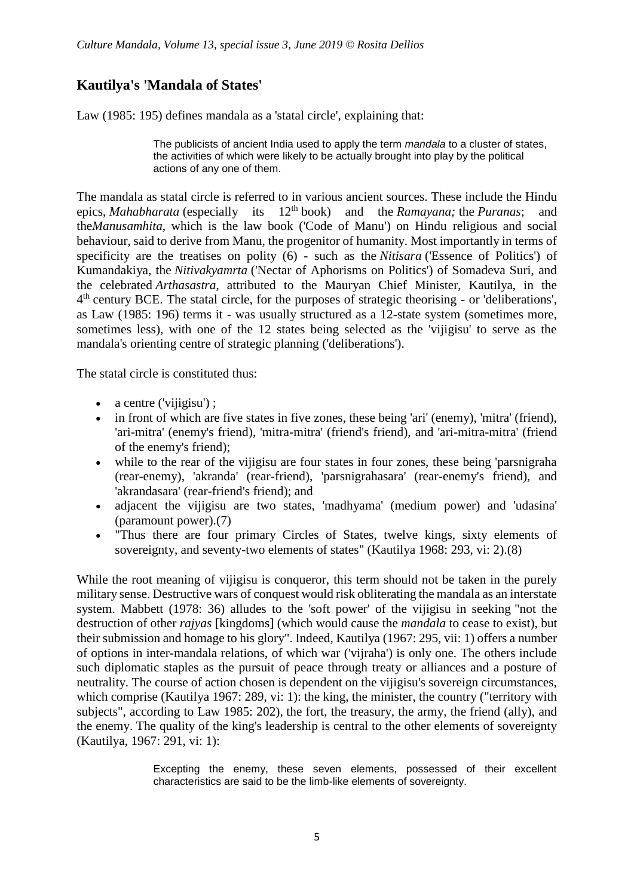# **Kautilya's 'Mandala of States'**

Law (1985: 195) defines mandala as a 'statal circle', explaining that:

The publicists of ancient India used to apply the term *mandala* to a cluster of states, the activities of which were likely to be actually brought into play by the political actions of any one of them.

The mandala as statal circle is referred to in various ancient sources. These include the Hindu epics, *Mahabharata* (especially its 12th book) and the *Ramayana;* the *Puranas*; and the*Manusamhita*, which is the law book ('Code of Manu') on Hindu religious and social behaviour, said to derive from Manu, the progenitor of humanity. Most importantly in terms of specificity are the treatises on polity (6) - such as the *Nitisara* ('Essence of Politics') of Kumandakiya, the *Nitivakyamrta* ('Nectar of Aphorisms on Politics') of Somadeva Suri, and the celebrated *Arthasastra*, attributed to the Mauryan Chief Minister, Kautilya, in the 4<sup>th</sup> century BCE. The statal circle, for the purposes of strategic theorising - or 'deliberations', as Law (1985: 196) terms it - was usually structured as a 12-state system (sometimes more, sometimes less), with one of the 12 states being selected as the 'vijigisu' to serve as the mandala's orienting centre of strategic planning ('deliberations').

The statal circle is constituted thus:

- $\bullet$  a centre ('vijigisu');
- in front of which are five states in five zones, these being 'ari' (enemy), 'mitra' (friend), 'ari-mitra' (enemy's friend), 'mitra-mitra' (friend's friend), and 'ari-mitra-mitra' (friend of the enemy's friend);
- while to the rear of the vijigisu are four states in four zones, these being 'parsnigraha (rear-enemy), 'akranda' (rear-friend), 'parsnigrahasara' (rear-enemy's friend), and 'akrandasara' (rear-friend's friend); and
- adjacent the vijigisu are two states, 'madhyama' (medium power) and 'udasina' (paramount power).(7)
- "Thus there are four primary Circles of States, twelve kings, sixty elements of sovereignty, and seventy-two elements of states" (Kautilya 1968: 293, vi: 2).(8)

While the root meaning of vijigisu is conqueror, this term should not be taken in the purely military sense. Destructive wars of conquest would risk obliterating the mandala as an interstate system. Mabbett (1978: 36) alludes to the 'soft power' of the vijigisu in seeking "not the destruction of other *rajyas* [kingdoms] (which would cause the *mandala* to cease to exist), but their submission and homage to his glory". Indeed, Kautilya (1967: 295, vii: 1) offers a number of options in inter-mandala relations, of which war ('vijraha') is only one. The others include such diplomatic staples as the pursuit of peace through treaty or alliances and a posture of neutrality. The course of action chosen is dependent on the vijigisu's sovereign circumstances, which comprise (Kautilya 1967: 289, vi: 1): the king, the minister, the country ("territory with subjects", according to Law 1985: 202), the fort, the treasury, the army, the friend (ally), and the enemy. The quality of the king's leadership is central to the other elements of sovereignty (Kautilya, 1967: 291, vi: 1):

> Excepting the enemy, these seven elements, possessed of their excellent characteristics are said to be the limb-like elements of sovereignty.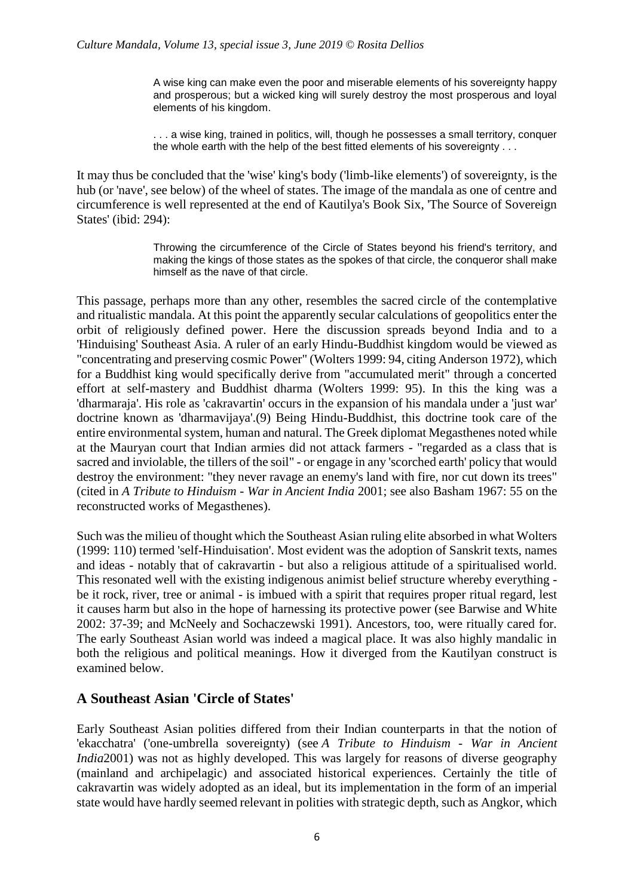A wise king can make even the poor and miserable elements of his sovereignty happy and prosperous; but a wicked king will surely destroy the most prosperous and loyal elements of his kingdom.

. . . a wise king, trained in politics, will, though he possesses a small territory, conquer the whole earth with the help of the best fitted elements of his sovereignty . . .

It may thus be concluded that the 'wise' king's body ('limb-like elements') of sovereignty, is the hub (or 'nave', see below) of the wheel of states. The image of the mandala as one of centre and circumference is well represented at the end of Kautilya's Book Six, 'The Source of Sovereign States' (ibid: 294):

> Throwing the circumference of the Circle of States beyond his friend's territory, and making the kings of those states as the spokes of that circle, the conqueror shall make himself as the nave of that circle.

This passage, perhaps more than any other, resembles the sacred circle of the contemplative and ritualistic mandala. At this point the apparently secular calculations of geopolitics enter the orbit of religiously defined power. Here the discussion spreads beyond India and to a 'Hinduising' Southeast Asia. A ruler of an early Hindu-Buddhist kingdom would be viewed as "concentrating and preserving cosmic Power" (Wolters 1999: 94, citing Anderson 1972), which for a Buddhist king would specifically derive from "accumulated merit" through a concerted effort at self-mastery and Buddhist dharma (Wolters 1999: 95). In this the king was a 'dharmaraja'. His role as 'cakravartin' occurs in the expansion of his mandala under a 'just war' doctrine known as 'dharmavijaya'.(9) Being Hindu-Buddhist, this doctrine took care of the entire environmental system, human and natural. The Greek diplomat Megasthenes noted while at the Mauryan court that Indian armies did not attack farmers - "regarded as a class that is sacred and inviolable, the tillers of the soil" - or engage in any 'scorched earth' policy that would destroy the environment: "they never ravage an enemy's land with fire, nor cut down its trees" (cited in *A Tribute to Hinduism - War in Ancient India* 2001; see also Basham 1967: 55 on the reconstructed works of Megasthenes).

Such was the milieu of thought which the Southeast Asian ruling elite absorbed in what Wolters (1999: 110) termed 'self-Hinduisation'. Most evident was the adoption of Sanskrit texts, names and ideas - notably that of cakravartin - but also a religious attitude of a spiritualised world. This resonated well with the existing indigenous animist belief structure whereby everything be it rock, river, tree or animal - is imbued with a spirit that requires proper ritual regard, lest it causes harm but also in the hope of harnessing its protective power (see Barwise and White 2002: 37-39; and McNeely and Sochaczewski 1991). Ancestors, too, were ritually cared for. The early Southeast Asian world was indeed a magical place. It was also highly mandalic in both the religious and political meanings. How it diverged from the Kautilyan construct is examined below.

### **A Southeast Asian 'Circle of States'**

Early Southeast Asian polities differed from their Indian counterparts in that the notion of 'ekacchatra' ('one-umbrella sovereignty) (see *A Tribute to Hinduism - War in Ancient India*2001) was not as highly developed. This was largely for reasons of diverse geography (mainland and archipelagic) and associated historical experiences. Certainly the title of cakravartin was widely adopted as an ideal, but its implementation in the form of an imperial state would have hardly seemed relevant in polities with strategic depth, such as Angkor, which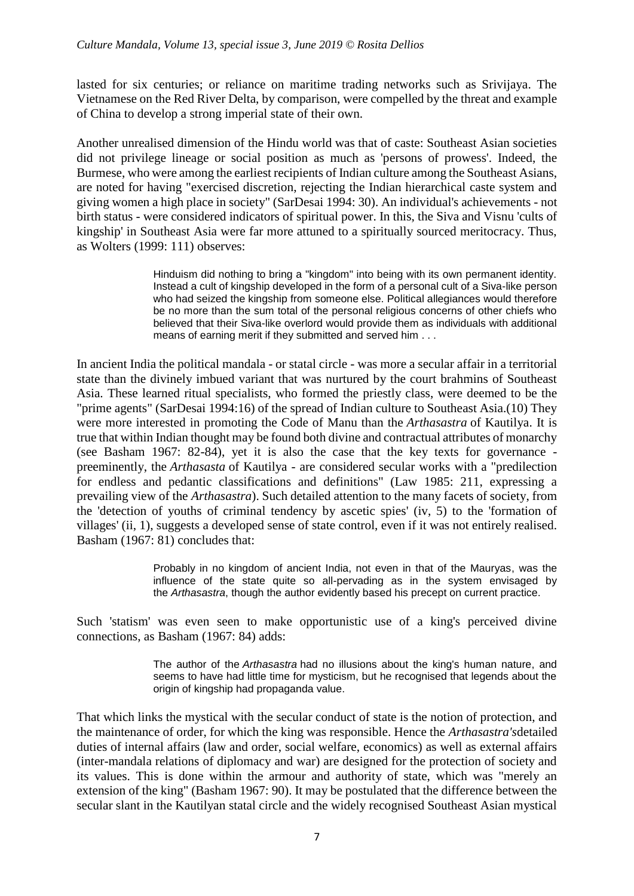lasted for six centuries; or reliance on maritime trading networks such as Srivijaya. The Vietnamese on the Red River Delta, by comparison, were compelled by the threat and example of China to develop a strong imperial state of their own.

Another unrealised dimension of the Hindu world was that of caste: Southeast Asian societies did not privilege lineage or social position as much as 'persons of prowess'. Indeed, the Burmese, who were among the earliest recipients of Indian culture among the Southeast Asians, are noted for having "exercised discretion, rejecting the Indian hierarchical caste system and giving women a high place in society" (SarDesai 1994: 30). An individual's achievements - not birth status - were considered indicators of spiritual power. In this, the Siva and Visnu 'cults of kingship' in Southeast Asia were far more attuned to a spiritually sourced meritocracy. Thus, as Wolters (1999: 111) observes:

> Hinduism did nothing to bring a "kingdom" into being with its own permanent identity. Instead a cult of kingship developed in the form of a personal cult of a Siva-like person who had seized the kingship from someone else. Political allegiances would therefore be no more than the sum total of the personal religious concerns of other chiefs who believed that their Siva-like overlord would provide them as individuals with additional means of earning merit if they submitted and served him . . .

In ancient India the political mandala - or statal circle - was more a secular affair in a territorial state than the divinely imbued variant that was nurtured by the court brahmins of Southeast Asia. These learned ritual specialists, who formed the priestly class, were deemed to be the "prime agents" (SarDesai 1994:16) of the spread of Indian culture to Southeast Asia.(10) They were more interested in promoting the Code of Manu than the *Arthasastra* of Kautilya. It is true that within Indian thought may be found both divine and contractual attributes of monarchy (see Basham 1967: 82-84), yet it is also the case that the key texts for governance preeminently, the *Arthasasta* of Kautilya - are considered secular works with a "predilection for endless and pedantic classifications and definitions" (Law 1985: 211, expressing a prevailing view of the *Arthasastra*). Such detailed attention to the many facets of society, from the 'detection of youths of criminal tendency by ascetic spies' (iv, 5) to the 'formation of villages' (ii, 1), suggests a developed sense of state control, even if it was not entirely realised. Basham (1967: 81) concludes that:

> Probably in no kingdom of ancient India, not even in that of the Mauryas, was the influence of the state quite so all-pervading as in the system envisaged by the *Arthasastra*, though the author evidently based his precept on current practice.

Such 'statism' was even seen to make opportunistic use of a king's perceived divine connections, as Basham (1967: 84) adds:

> The author of the *Arthasastra* had no illusions about the king's human nature, and seems to have had little time for mysticism, but he recognised that legends about the origin of kingship had propaganda value.

That which links the mystical with the secular conduct of state is the notion of protection, and the maintenance of order, for which the king was responsible. Hence the *Arthasastra's*detailed duties of internal affairs (law and order, social welfare, economics) as well as external affairs (inter-mandala relations of diplomacy and war) are designed for the protection of society and its values. This is done within the armour and authority of state, which was "merely an extension of the king" (Basham 1967: 90). It may be postulated that the difference between the secular slant in the Kautilyan statal circle and the widely recognised Southeast Asian mystical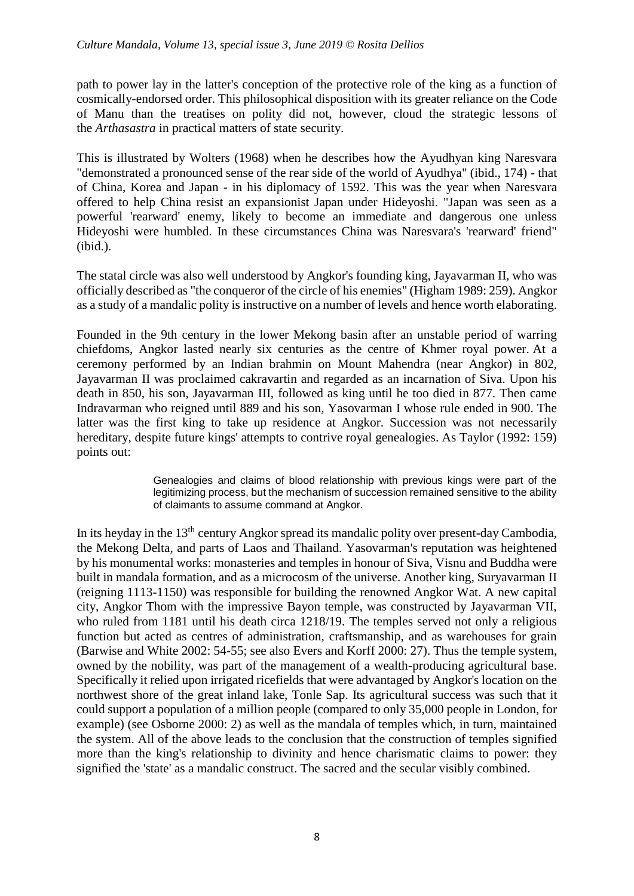path to power lay in the latter's conception of the protective role of the king as a function of cosmically-endorsed order. This philosophical disposition with its greater reliance on the Code of Manu than the treatises on polity did not, however, cloud the strategic lessons of the *Arthasastra* in practical matters of state security.

This is illustrated by Wolters (1968) when he describes how the Ayudhyan king Naresvara "demonstrated a pronounced sense of the rear side of the world of Ayudhya" (ibid., 174) - that of China, Korea and Japan - in his diplomacy of 1592. This was the year when Naresvara offered to help China resist an expansionist Japan under Hideyoshi. "Japan was seen as a powerful 'rearward' enemy, likely to become an immediate and dangerous one unless Hideyoshi were humbled. In these circumstances China was Naresvara's 'rearward' friend" (ibid.).

The statal circle was also well understood by Angkor's founding king, Jayavarman II, who was officially described as "the conqueror of the circle of his enemies" (Higham 1989: 259). Angkor as a study of a mandalic polity is instructive on a number of levels and hence worth elaborating.

Founded in the 9th century in the lower Mekong basin after an unstable period of warring chiefdoms, Angkor lasted nearly six centuries as the centre of Khmer royal power. At a ceremony performed by an Indian brahmin on Mount Mahendra (near Angkor) in 802, Jayavarman II was proclaimed cakravartin and regarded as an incarnation of Siva. Upon his death in 850, his son, Jayavarman III, followed as king until he too died in 877. Then came Indravarman who reigned until 889 and his son, Yasovarman I whose rule ended in 900. The latter was the first king to take up residence at Angkor. Succession was not necessarily hereditary, despite future kings' attempts to contrive royal genealogies. As Taylor (1992: 159) points out:

> Genealogies and claims of blood relationship with previous kings were part of the legitimizing process, but the mechanism of succession remained sensitive to the ability of claimants to assume command at Angkor.

In its heyday in the  $13<sup>th</sup>$  century Angkor spread its mandalic polity over present-day Cambodia, the Mekong Delta, and parts of Laos and Thailand. Yasovarman's reputation was heightened by his monumental works: monasteries and temples in honour of Siva, Visnu and Buddha were built in mandala formation, and as a microcosm of the universe. Another king, Suryavarman II (reigning 1113-1150) was responsible for building the renowned Angkor Wat. A new capital city, Angkor Thom with the impressive Bayon temple, was constructed by Jayavarman VII, who ruled from 1181 until his death circa 1218/19. The temples served not only a religious function but acted as centres of administration, craftsmanship, and as warehouses for grain (Barwise and White 2002: 54-55; see also Evers and Korff 2000: 27). Thus the temple system, owned by the nobility, was part of the management of a wealth-producing agricultural base. Specifically it relied upon irrigated ricefields that were advantaged by Angkor's location on the northwest shore of the great inland lake, Tonle Sap. Its agricultural success was such that it could support a population of a million people (compared to only 35,000 people in London, for example) (see Osborne 2000: 2) as well as the mandala of temples which, in turn, maintained the system. All of the above leads to the conclusion that the construction of temples signified more than the king's relationship to divinity and hence charismatic claims to power: they signified the 'state' as a mandalic construct. The sacred and the secular visibly combined.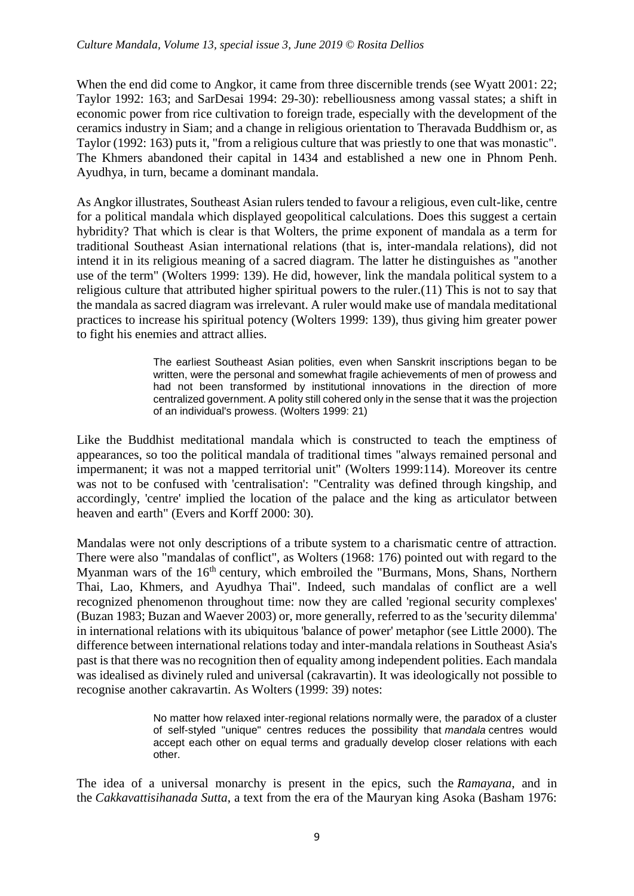When the end did come to Angkor, it came from three discernible trends (see Wyatt 2001: 22; Taylor 1992: 163; and SarDesai 1994: 29-30): rebelliousness among vassal states; a shift in economic power from rice cultivation to foreign trade, especially with the development of the ceramics industry in Siam; and a change in religious orientation to Theravada Buddhism or, as Taylor (1992: 163) puts it, "from a religious culture that was priestly to one that was monastic". The Khmers abandoned their capital in 1434 and established a new one in Phnom Penh. Ayudhya, in turn, became a dominant mandala.

As Angkor illustrates, Southeast Asian rulers tended to favour a religious, even cult-like, centre for a political mandala which displayed geopolitical calculations. Does this suggest a certain hybridity? That which is clear is that Wolters, the prime exponent of mandala as a term for traditional Southeast Asian international relations (that is, inter-mandala relations), did not intend it in its religious meaning of a sacred diagram. The latter he distinguishes as "another use of the term" (Wolters 1999: 139). He did, however, link the mandala political system to a religious culture that attributed higher spiritual powers to the ruler.(11) This is not to say that the mandala as sacred diagram was irrelevant. A ruler would make use of mandala meditational practices to increase his spiritual potency (Wolters 1999: 139), thus giving him greater power to fight his enemies and attract allies.

> The earliest Southeast Asian polities, even when Sanskrit inscriptions began to be written, were the personal and somewhat fragile achievements of men of prowess and had not been transformed by institutional innovations in the direction of more centralized government. A polity still cohered only in the sense that it was the projection of an individual's prowess. (Wolters 1999: 21)

Like the Buddhist meditational mandala which is constructed to teach the emptiness of appearances, so too the political mandala of traditional times "always remained personal and impermanent; it was not a mapped territorial unit" (Wolters 1999:114). Moreover its centre was not to be confused with 'centralisation': "Centrality was defined through kingship, and accordingly, 'centre' implied the location of the palace and the king as articulator between heaven and earth" (Evers and Korff 2000: 30).

Mandalas were not only descriptions of a tribute system to a charismatic centre of attraction. There were also "mandalas of conflict", as Wolters (1968: 176) pointed out with regard to the Myanman wars of the 16<sup>th</sup> century, which embroiled the "Burmans, Mons, Shans, Northern Thai, Lao, Khmers, and Ayudhya Thai". Indeed, such mandalas of conflict are a well recognized phenomenon throughout time: now they are called 'regional security complexes' (Buzan 1983; Buzan and Waever 2003) or, more generally, referred to as the 'security dilemma' in international relations with its ubiquitous 'balance of power' metaphor (see Little 2000). The difference between international relations today and inter-mandala relations in Southeast Asia's past is that there was no recognition then of equality among independent polities. Each mandala was idealised as divinely ruled and universal (cakravartin). It was ideologically not possible to recognise another cakravartin. As Wolters (1999: 39) notes:

> No matter how relaxed inter-regional relations normally were, the paradox of a cluster of self-styled "unique" centres reduces the possibility that *mandala* centres would accept each other on equal terms and gradually develop closer relations with each other.

The idea of a universal monarchy is present in the epics, such the *Ramayana*, and in the *Cakkavattisihanada Sutta*, a text from the era of the Mauryan king Asoka (Basham 1976: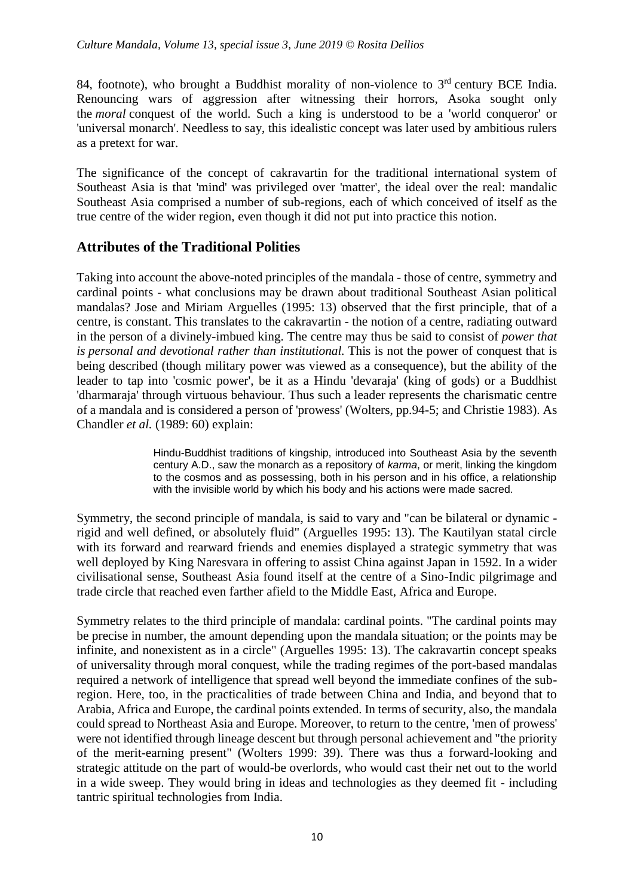84, footnote), who brought a Buddhist morality of non-violence to  $3<sup>rd</sup>$  century BCE India. Renouncing wars of aggression after witnessing their horrors, Asoka sought only the *moral* conquest of the world. Such a king is understood to be a 'world conqueror' or 'universal monarch'. Needless to say, this idealistic concept was later used by ambitious rulers as a pretext for war.

The significance of the concept of cakravartin for the traditional international system of Southeast Asia is that 'mind' was privileged over 'matter', the ideal over the real: mandalic Southeast Asia comprised a number of sub-regions, each of which conceived of itself as the true centre of the wider region, even though it did not put into practice this notion.

#### **Attributes of the Traditional Polities**

Taking into account the above-noted principles of the mandala - those of centre, symmetry and cardinal points - what conclusions may be drawn about traditional Southeast Asian political mandalas? Jose and Miriam Arguelles (1995: 13) observed that the first principle, that of a centre, is constant. This translates to the cakravartin - the notion of a centre, radiating outward in the person of a divinely-imbued king. The centre may thus be said to consist of *power that is personal and devotional rather than institutional.* This is not the power of conquest that is being described (though military power was viewed as a consequence), but the ability of the leader to tap into 'cosmic power', be it as a Hindu 'devaraja' (king of gods) or a Buddhist 'dharmaraja' through virtuous behaviour. Thus such a leader represents the charismatic centre of a mandala and is considered a person of 'prowess' (Wolters, pp.94-5; and Christie 1983). As Chandler *et al.* (1989: 60) explain:

> Hindu-Buddhist traditions of kingship, introduced into Southeast Asia by the seventh century A.D., saw the monarch as a repository of *karma*, or merit, linking the kingdom to the cosmos and as possessing, both in his person and in his office, a relationship with the invisible world by which his body and his actions were made sacred.

Symmetry, the second principle of mandala, is said to vary and "can be bilateral or dynamic rigid and well defined, or absolutely fluid" (Arguelles 1995: 13). The Kautilyan statal circle with its forward and rearward friends and enemies displayed a strategic symmetry that was well deployed by King Naresvara in offering to assist China against Japan in 1592. In a wider civilisational sense, Southeast Asia found itself at the centre of a Sino-Indic pilgrimage and trade circle that reached even farther afield to the Middle East, Africa and Europe.

Symmetry relates to the third principle of mandala: cardinal points. "The cardinal points may be precise in number, the amount depending upon the mandala situation; or the points may be infinite, and nonexistent as in a circle" (Arguelles 1995: 13). The cakravartin concept speaks of universality through moral conquest, while the trading regimes of the port-based mandalas required a network of intelligence that spread well beyond the immediate confines of the subregion. Here, too, in the practicalities of trade between China and India, and beyond that to Arabia, Africa and Europe, the cardinal points extended. In terms of security, also, the mandala could spread to Northeast Asia and Europe. Moreover, to return to the centre, 'men of prowess' were not identified through lineage descent but through personal achievement and "the priority of the merit-earning present" (Wolters 1999: 39). There was thus a forward-looking and strategic attitude on the part of would-be overlords, who would cast their net out to the world in a wide sweep. They would bring in ideas and technologies as they deemed fit - including tantric spiritual technologies from India.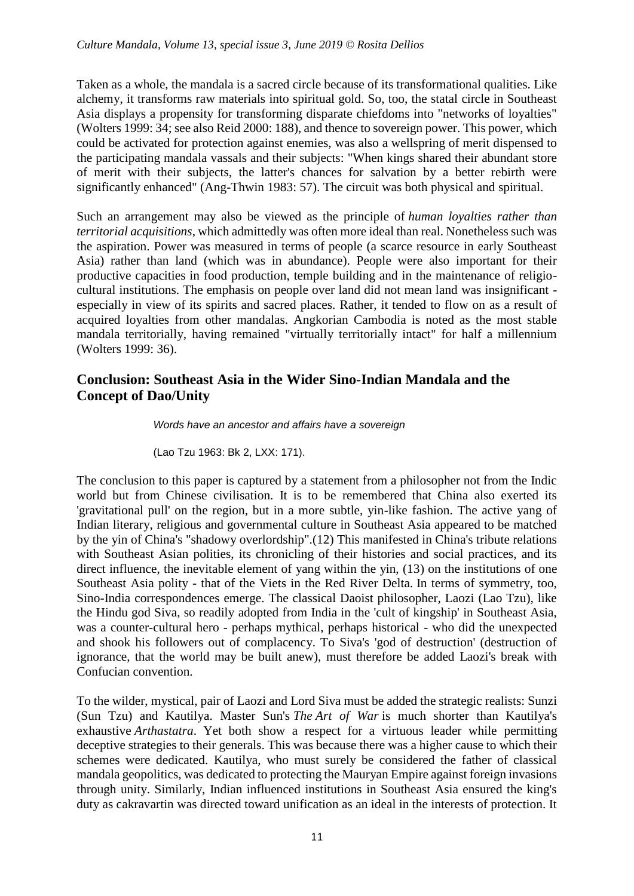Taken as a whole, the mandala is a sacred circle because of its transformational qualities. Like alchemy, it transforms raw materials into spiritual gold. So, too, the statal circle in Southeast Asia displays a propensity for transforming disparate chiefdoms into "networks of loyalties" (Wolters 1999: 34; see also Reid 2000: 188), and thence to sovereign power. This power, which could be activated for protection against enemies, was also a wellspring of merit dispensed to the participating mandala vassals and their subjects: "When kings shared their abundant store of merit with their subjects, the latter's chances for salvation by a better rebirth were significantly enhanced" (Ang-Thwin 1983: 57). The circuit was both physical and spiritual.

Such an arrangement may also be viewed as the principle of *human loyalties rather than territorial acquisitions*, which admittedly was often more ideal than real. Nonetheless such was the aspiration. Power was measured in terms of people (a scarce resource in early Southeast Asia) rather than land (which was in abundance). People were also important for their productive capacities in food production, temple building and in the maintenance of religiocultural institutions. The emphasis on people over land did not mean land was insignificant especially in view of its spirits and sacred places. Rather, it tended to flow on as a result of acquired loyalties from other mandalas. Angkorian Cambodia is noted as the most stable mandala territorially, having remained "virtually territorially intact" for half a millennium (Wolters 1999: 36).

## **Conclusion: Southeast Asia in the Wider Sino-Indian Mandala and the Concept of Dao/Unity**

*Words have an ancestor and affairs have a sovereign*

(Lao Tzu 1963: Bk 2, LXX: 171).

The conclusion to this paper is captured by a statement from a philosopher not from the Indic world but from Chinese civilisation. It is to be remembered that China also exerted its 'gravitational pull' on the region, but in a more subtle, yin-like fashion. The active yang of Indian literary, religious and governmental culture in Southeast Asia appeared to be matched by the yin of China's "shadowy overlordship".(12) This manifested in China's tribute relations with Southeast Asian polities, its chronicling of their histories and social practices, and its direct influence, the inevitable element of yang within the yin, (13) on the institutions of one Southeast Asia polity - that of the Viets in the Red River Delta. In terms of symmetry, too, Sino-India correspondences emerge. The classical Daoist philosopher, Laozi (Lao Tzu), like the Hindu god Siva, so readily adopted from India in the 'cult of kingship' in Southeast Asia, was a counter-cultural hero - perhaps mythical, perhaps historical - who did the unexpected and shook his followers out of complacency. To Siva's 'god of destruction' (destruction of ignorance, that the world may be built anew), must therefore be added Laozi's break with Confucian convention.

To the wilder, mystical, pair of Laozi and Lord Siva must be added the strategic realists: Sunzi (Sun Tzu) and Kautilya. Master Sun's *The Art of War* is much shorter than Kautilya's exhaustive *Arthastatra*. Yet both show a respect for a virtuous leader while permitting deceptive strategies to their generals. This was because there was a higher cause to which their schemes were dedicated. Kautilya, who must surely be considered the father of classical mandala geopolitics, was dedicated to protecting the Mauryan Empire against foreign invasions through unity. Similarly, Indian influenced institutions in Southeast Asia ensured the king's duty as cakravartin was directed toward unification as an ideal in the interests of protection. It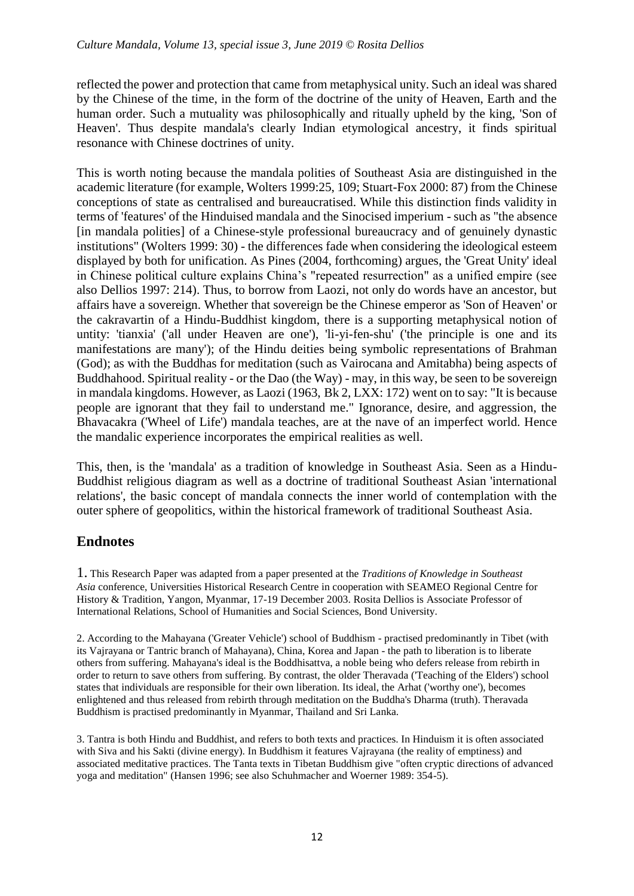reflected the power and protection that came from metaphysical unity. Such an ideal was shared by the Chinese of the time, in the form of the doctrine of the unity of Heaven, Earth and the human order. Such a mutuality was philosophically and ritually upheld by the king, 'Son of Heaven'. Thus despite mandala's clearly Indian etymological ancestry, it finds spiritual resonance with Chinese doctrines of unity.

This is worth noting because the mandala polities of Southeast Asia are distinguished in the academic literature (for example, Wolters 1999:25, 109; Stuart-Fox 2000: 87) from the Chinese conceptions of state as centralised and bureaucratised. While this distinction finds validity in terms of 'features' of the Hinduised mandala and the Sinocised imperium - such as "the absence [in mandala polities] of a Chinese-style professional bureaucracy and of genuinely dynastic institutions" (Wolters 1999: 30) - the differences fade when considering the ideological esteem displayed by both for unification. As Pines (2004, forthcoming) argues, the 'Great Unity' ideal in Chinese political culture explains China's "repeated resurrection" as a unified empire (see also Dellios 1997: 214). Thus, to borrow from Laozi, not only do words have an ancestor, but affairs have a sovereign. Whether that sovereign be the Chinese emperor as 'Son of Heaven' or the cakravartin of a Hindu-Buddhist kingdom, there is a supporting metaphysical notion of untity: 'tianxia' ('all under Heaven are one'), 'li-yi-fen-shu' ('the principle is one and its manifestations are many'); of the Hindu deities being symbolic representations of Brahman (God); as with the Buddhas for meditation (such as Vairocana and Amitabha) being aspects of Buddhahood. Spiritual reality - or the Dao (the Way) - may, in this way, be seen to be sovereign in mandala kingdoms. However, as Laozi (1963, Bk 2, LXX: 172) went on to say: "It is because people are ignorant that they fail to understand me." Ignorance, desire, and aggression, the Bhavacakra ('Wheel of Life') mandala teaches, are at the nave of an imperfect world. Hence the mandalic experience incorporates the empirical realities as well.

This, then, is the 'mandala' as a tradition of knowledge in Southeast Asia. Seen as a Hindu-Buddhist religious diagram as well as a doctrine of traditional Southeast Asian 'international relations', the basic concept of mandala connects the inner world of contemplation with the outer sphere of geopolitics, within the historical framework of traditional Southeast Asia.

# **Endnotes**

1. This Research Paper was adapted from a paper presented at the *Traditions of Knowledge in Southeast Asia* conference, Universities Historical Research Centre in cooperation with SEAMEO Regional Centre for History & Tradition, Yangon, Myanmar, 17-19 December 2003. Rosita Dellios is Associate Professor of International Relations, School of Humanities and Social Sciences, Bond University.

2. According to the Mahayana ('Greater Vehicle') school of Buddhism - practised predominantly in Tibet (with its Vajrayana or Tantric branch of Mahayana), China, Korea and Japan - the path to liberation is to liberate others from suffering. Mahayana's ideal is the Boddhisattva, a noble being who defers release from rebirth in order to return to save others from suffering. By contrast, the older Theravada ('Teaching of the Elders') school states that individuals are responsible for their own liberation. Its ideal, the Arhat ('worthy one'), becomes enlightened and thus released from rebirth through meditation on the Buddha's Dharma (truth). Theravada Buddhism is practised predominantly in Myanmar, Thailand and Sri Lanka.

3. Tantra is both Hindu and Buddhist, and refers to both texts and practices. In Hinduism it is often associated with Siva and his Sakti (divine energy). In Buddhism it features Vajrayana (the reality of emptiness) and associated meditative practices. The Tanta texts in Tibetan Buddhism give "often cryptic directions of advanced yoga and meditation" (Hansen 1996; see also Schuhmacher and Woerner 1989: 354-5).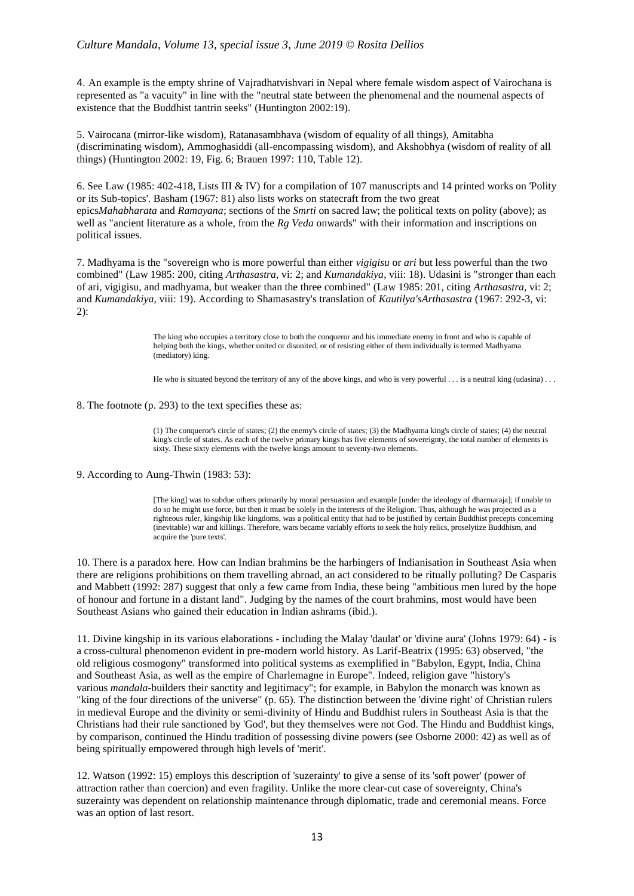4. An example is the empty shrine of Vajradhatvishvari in Nepal where female wisdom aspect of Vairochana is represented as "a vacuity" in line with the "neutral state between the phenomenal and the noumenal aspects of existence that the Buddhist tantrin seeks" (Huntington 2002:19).

5. Vairocana (mirror-like wisdom), Ratanasambhava (wisdom of equality of all things), Amitabha (discriminating wisdom), Ammoghasiddi (all-encompassing wisdom), and Akshobhya (wisdom of reality of all things) (Huntington 2002: 19, Fig. 6; Brauen 1997: 110, Table 12).

6. See Law (1985: 402-418, Lists III & IV) for a compilation of 107 manuscripts and 14 printed works on 'Polity or its Sub-topics'. Basham (1967: 81) also lists works on statecraft from the two great epics*Mahabharata* and *Ramayana*; sections of the *Smrti* on sacred law; the political texts on polity (above); as well as "ancient literature as a whole, from the *Rg Veda* onwards" with their information and inscriptions on political issues.

7. Madhyama is the "sovereign who is more powerful than either *vigigisu* or *ari* but less powerful than the two combined" (Law 1985: 200, citing *Arthasastra*, vi: 2; and *Kumandakiya*, viii: 18). Udasini is "stronger than each of ari, vigigisu, and madhyama, but weaker than the three combined" (Law 1985: 201, citing *Arthasastra*, vi: 2; and *Kumandakiya*, viii: 19). According to Shamasastry's translation of *Kautilya'sArthasastra* (1967: 292-3, vi: 2):

> The king who occupies a territory close to both the conqueror and his immediate enemy in front and who is capable of helping both the kings, whether united or disunited, or of resisting either of them individually is termed Madhyama (mediatory) king.

He who is situated beyond the territory of any of the above kings, and who is very powerful . . . is a neutral king (udasina) . . .

#### 8. The footnote (p. 293) to the text specifies these as:

(1) The conqueror's circle of states; (2) the enemy's circle of states; (3) the Madhyama king's circle of states; (4) the neutral king's circle of states. As each of the twelve primary kings has five elements of sovereignty, the total number of elements is sixty. These sixty elements with the twelve kings amount to seventy-two elements.

#### 9. According to Aung-Thwin (1983: 53):

[The king] was to subdue others primarily by moral persuasion and example [under the ideology of dharmaraja]; if unable to do so he might use force, but then it must be solely in the interests of the Religion. Thus, although he was projected as a righteous ruler, kingship like kingdoms, was a political entity that had to be justified by certain Buddhist precepts concerning (inevitable) war and killings. Therefore, wars became variably efforts to seek the holy relics, proselytize Buddhism, and acquire the 'pure texts'.

10. There is a paradox here. How can Indian brahmins be the harbingers of Indianisation in Southeast Asia when there are religions prohibitions on them travelling abroad, an act considered to be ritually polluting? De Casparis and Mabbett (1992: 287) suggest that only a few came from India, these being "ambitious men lured by the hope of honour and fortune in a distant land". Judging by the names of the court brahmins, most would have been Southeast Asians who gained their education in Indian ashrams (ibid.).

11. Divine kingship in its various elaborations - including the Malay 'daulat' or 'divine aura' (Johns 1979: 64) - is a cross-cultural phenomenon evident in pre-modern world history. As Larif-Beatrix (1995: 63) observed, "the old religious cosmogony" transformed into political systems as exemplified in "Babylon, Egypt, India, China and Southeast Asia, as well as the empire of Charlemagne in Europe". Indeed, religion gave "history's various *mandala*-builders their sanctity and legitimacy"; for example, in Babylon the monarch was known as "king of the four directions of the universe" (p. 65). The distinction between the 'divine right' of Christian rulers in medieval Europe and the divinity or semi-divinity of Hindu and Buddhist rulers in Southeast Asia is that the Christians had their rule sanctioned by 'God', but they themselves were not God. The Hindu and Buddhist kings, by comparison, continued the Hindu tradition of possessing divine powers (see Osborne 2000: 42) as well as of being spiritually empowered through high levels of 'merit'.

12. Watson (1992: 15) employs this description of 'suzerainty' to give a sense of its 'soft power' (power of attraction rather than coercion) and even fragility. Unlike the more clear-cut case of sovereignty, China's suzerainty was dependent on relationship maintenance through diplomatic, trade and ceremonial means. Force was an option of last resort.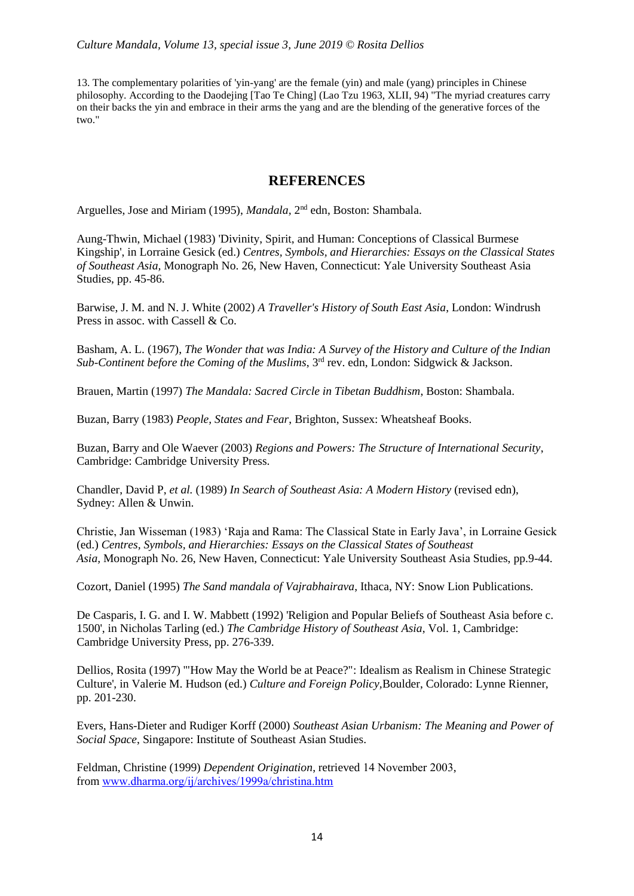13. The complementary polarities of 'yin-yang' are the female (yin) and male (yang) principles in Chinese philosophy. According to the Daodejing [Tao Te Ching] (Lao Tzu 1963, XLII, 94) "The myriad creatures carry on their backs the yin and embrace in their arms the yang and are the blending of the generative forces of the two."

#### **REFERENCES**

Arguelles, Jose and Miriam (1995), *Mandala*, 2<sup>nd</sup> edn, Boston: Shambala.

Aung-Thwin, Michael (1983) 'Divinity, Spirit, and Human: Conceptions of Classical Burmese Kingship', in Lorraine Gesick (ed.) *Centres, Symbols, and Hierarchies: Essays on the Classical States of Southeast Asia,* Monograph No. 26, New Haven, Connecticut: Yale University Southeast Asia Studies, pp. 45-86.

Barwise, J. M. and N. J. White (2002) *A Traveller's History of South East Asia*, London: Windrush Press in assoc. with Cassell & Co.

Basham, A. L. (1967), *The Wonder that was India: A Survey of the History and Culture of the Indian Sub-Continent before the Coming of the Muslims*, 3rd rev. edn, London: Sidgwick & Jackson.

Brauen, Martin (1997) *The Mandala: Sacred Circle in Tibetan Buddhism*, Boston: Shambala.

Buzan, Barry (1983) *People, States and Fear*, Brighton, Sussex: Wheatsheaf Books.

Buzan, Barry and Ole Waever (2003) *Regions and Powers: The Structure of International Security*, Cambridge: Cambridge University Press.

Chandler, David P, *et al.* (1989) *In Search of Southeast Asia: A Modern History* (revised edn), Sydney: Allen & Unwin.

Christie, Jan Wisseman (1983) 'Raja and Rama: The Classical State in Early Java', in Lorraine Gesick (ed.) *Centres, Symbols, and Hierarchies: Essays on the Classical States of Southeast Asia,* Monograph No. 26, New Haven, Connecticut: Yale University Southeast Asia Studies, pp.9-44.

Cozort, Daniel (1995) *The Sand mandala of Vajrabhairava*, Ithaca, NY: Snow Lion Publications.

De Casparis, I. G. and I. W. Mabbett (1992) 'Religion and Popular Beliefs of Southeast Asia before c. 1500', in Nicholas Tarling (ed.) *The Cambridge History of Southeast Asia*, Vol. 1, Cambridge: Cambridge University Press, pp. 276-339.

Dellios, Rosita (1997) '"How May the World be at Peace?": Idealism as Realism in Chinese Strategic Culture', in Valerie M. Hudson (ed.) *Culture and Foreign Policy,*Boulder, Colorado: Lynne Rienner, pp. 201-230.

Evers, Hans-Dieter and Rudiger Korff (2000) *Southeast Asian Urbanism: The Meaning and Power of Social Space*, Singapore: Institute of Southeast Asian Studies.

Feldman, Christine (1999) *Dependent Origination*, retrieved 14 November 2003, from [www.dharma.org/ij/archives/1999a/christina.htm](http://www.dharma.org/ij/archives/1999a/christina.htm)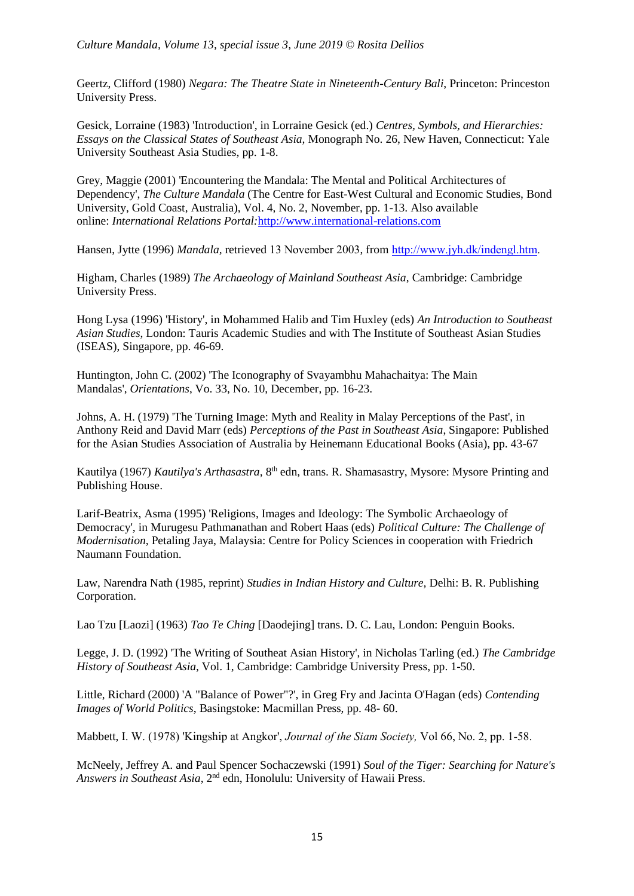Geertz, Clifford (1980) *Negara: The Theatre State in Nineteenth-Century Bali*, Princeton: Princeston University Press.

Gesick, Lorraine (1983) 'Introduction', in Lorraine Gesick (ed.) *Centres, Symbols, and Hierarchies: Essays on the Classical States of Southeast Asia,* Monograph No. 26, New Haven, Connecticut: Yale University Southeast Asia Studies, pp. 1-8.

Grey, Maggie (2001) 'Encountering the Mandala: The Mental and Political Architectures of Dependency', *The Culture Mandala* (The Centre for East-West Cultural and Economic Studies, Bond University, Gold Coast, Australia), Vol. 4, No. 2, November, pp. 1-13. Also available online: *International Relations Portal:*[http://www.international-relations.com](http://www.international-relations.com/)

Hansen, Jytte (1996) *Mandala,* retrieved 13 November 2003, from [http://www.jyh.dk/indengl.htm.](http://www.jyh.dk/indengl.htm)

Higham, Charles (1989) *The Archaeology of Mainland Southeast Asia*, Cambridge: Cambridge University Press.

Hong Lysa (1996) 'History', in Mohammed Halib and Tim Huxley (eds) *An Introduction to Southeast Asian Studies*, London: Tauris Academic Studies and with The Institute of Southeast Asian Studies (ISEAS), Singapore, pp. 46-69.

Huntington, John C. (2002) 'The Iconography of Svayambhu Mahachaitya: The Main Mandalas', *Orientations*, Vo. 33, No. 10, December, pp. 16-23.

Johns, A. H. (1979) 'The Turning Image: Myth and Reality in Malay Perceptions of the Past', in Anthony Reid and David Marr (eds) *Perceptions of the Past in Southeast Asia*, Singapore: Published for the Asian Studies Association of Australia by Heinemann Educational Books (Asia), pp. 43-67

Kautilya (1967) *Kautilya's Arthasastra*, 8<sup>th</sup> edn, trans. R. Shamasastry, Mysore: Mysore Printing and Publishing House.

Larif-Beatrix, Asma (1995) 'Religions, Images and Ideology: The Symbolic Archaeology of Democracy', in Murugesu Pathmanathan and Robert Haas (eds) *Political Culture: The Challenge of Modernisation,* Petaling Jaya, Malaysia: Centre for Policy Sciences in cooperation with Friedrich Naumann Foundation.

Law, Narendra Nath (1985, reprint) *Studies in Indian History and Culture,* Delhi: B. R. Publishing Corporation.

Lao Tzu [Laozi] (1963) *Tao Te Ching* [Daodejing] trans. D. C. Lau, London: Penguin Books.

Legge, J. D. (1992) 'The Writing of Southeat Asian History', in Nicholas Tarling (ed.) *The Cambridge History of Southeast Asia*, Vol. 1, Cambridge: Cambridge University Press, pp. 1-50.

Little, Richard (2000) 'A "Balance of Power"?', in Greg Fry and Jacinta O'Hagan (eds) *Contending Images of World Politics*, Basingstoke: Macmillan Press, pp. 48- 60.

Mabbett, I. W. (1978) 'Kingship at Angkor', *Journal of the Siam Society,* Vol 66, No. 2, pp. 1-58.

McNeely, Jeffrey A. and Paul Spencer Sochaczewski (1991) *Soul of the Tiger: Searching for Nature's Answers in Southeast Asia*, 2nd edn, Honolulu: University of Hawaii Press.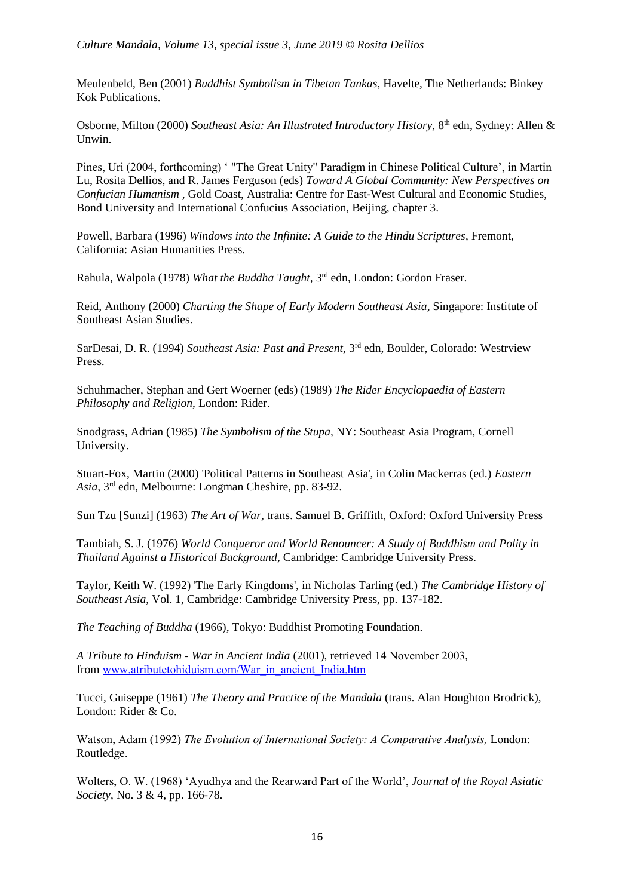Meulenbeld, Ben (2001) *Buddhist Symbolism in Tibetan Tankas*, Havelte, The Netherlands: Binkey Kok Publications.

Osborne, Milton (2000) Southeast Asia: An Illustrated Introductory History, 8<sup>th</sup> edn, Sydney: Allen & Unwin.

Pines, Uri (2004, forthcoming) ' "The Great Unity" Paradigm in Chinese Political Culture', in Martin Lu, Rosita Dellios, and R. James Ferguson (eds) *Toward A Global Community: New Perspectives on Confucian Humanism ,* Gold Coast, Australia: Centre for East-West Cultural and Economic Studies, Bond University and International Confucius Association, Beijing, chapter 3.

Powell, Barbara (1996) *Windows into the Infinite: A Guide to the Hindu Scriptures*, Fremont, California: Asian Humanities Press.

Rahula, Walpola (1978) *What the Buddha Taught*, 3<sup>rd</sup> edn, London: Gordon Fraser.

Reid, Anthony (2000) *Charting the Shape of Early Modern Southeast Asia*, Singapore: Institute of Southeast Asian Studies.

SarDesai, D. R. (1994) Southeast Asia: Past and Present, 3<sup>rd</sup> edn, Boulder, Colorado: Westrview Press.

Schuhmacher, Stephan and Gert Woerner (eds) (1989) *The Rider Encyclopaedia of Eastern Philosophy and Religion*, London: Rider.

Snodgrass, Adrian (1985) *The Symbolism of the Stupa,* NY: Southeast Asia Program, Cornell University.

Stuart-Fox, Martin (2000) 'Political Patterns in Southeast Asia', in Colin Mackerras (ed.) *Eastern Asia,* 3 rd edn, Melbourne: Longman Cheshire, pp. 83-92.

Sun Tzu [Sunzi] (1963) *The Art of War*, trans. Samuel B. Griffith, Oxford: Oxford University Press

Tambiah, S. J. (1976) *World Conqueror and World Renouncer: A Study of Buddhism and Polity in Thailand Against a Historical Background*, Cambridge: Cambridge University Press.

Taylor, Keith W. (1992) 'The Early Kingdoms', in Nicholas Tarling (ed.) *The Cambridge History of Southeast Asia*, Vol. 1, Cambridge: Cambridge University Press, pp. 137-182.

*The Teaching of Buddha* (1966), Tokyo: Buddhist Promoting Foundation.

*A Tribute to Hinduism - War in Ancient India* (2001), retrieved 14 November 2003, from [www.atributetohiduism.com/War\\_in\\_ancient\\_India.htm](http://www.atributetohiduism.com/War_in_ancient_India.htm)

Tucci, Guiseppe (1961) *The Theory and Practice of the Mandala* (trans. Alan Houghton Brodrick), London: Rider & Co.

Watson, Adam (1992) *The Evolution of International Society: A Comparative Analysis,* London: Routledge.

Wolters, O. W. (1968) 'Ayudhya and the Rearward Part of the World', *Journal of the Royal Asiatic Society*, No. 3 & 4, pp. 166-78.